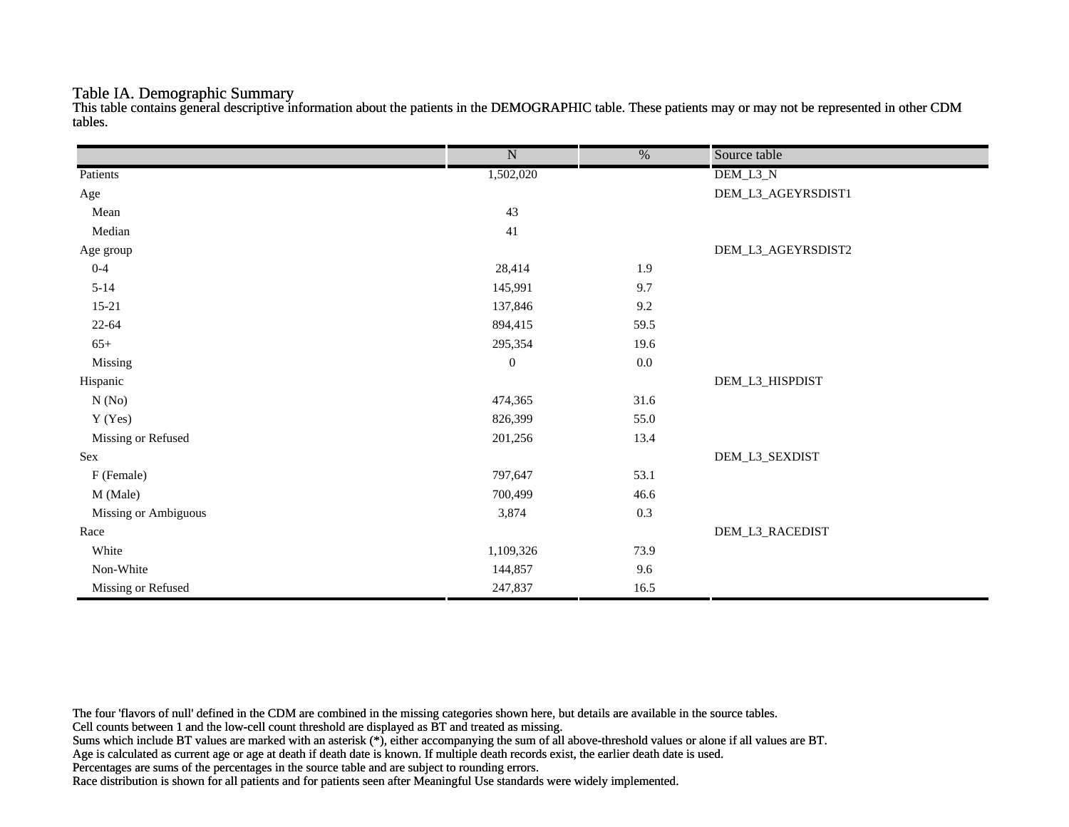#### Table IA. Demographic Summary

This table contains general descriptive information about the patients in the DEMOGRAPHIC table. These patients may or may not be represented in other CDM tables.

|                      | $\overline{\text{N}}$ | $\overline{\frac{0}{0}}$ | Source table       |
|----------------------|-----------------------|--------------------------|--------------------|
| Patients             | 1,502,020             |                          | DEM_L3_N           |
| Age                  |                       |                          | DEM_L3_AGEYRSDIST1 |
| Mean                 | 43                    |                          |                    |
| Median               | 41                    |                          |                    |
| Age group            |                       |                          | DEM_L3_AGEYRSDIST2 |
| $0 - 4$              | 28,414                | 1.9                      |                    |
| $5 - 14$             | 145,991               | 9.7                      |                    |
| $15 - 21$            | 137,846               | 9.2                      |                    |
| $22 - 64$            | 894,415               | 59.5                     |                    |
| $65+$                | 295,354               | 19.6                     |                    |
| Missing              | $\boldsymbol{0}$      | $0.0\,$                  |                    |
| Hispanic             |                       |                          | DEM_L3_HISPDIST    |
| N(No)                | 474,365               | 31.6                     |                    |
| Y (Yes)              | 826,399               | 55.0                     |                    |
| Missing or Refused   | 201,256               | 13.4                     |                    |
| Sex                  |                       |                          | DEM_L3_SEXDIST     |
| F (Female)           | 797,647               | 53.1                     |                    |
| M (Male)             | 700,499               | 46.6                     |                    |
| Missing or Ambiguous | 3,874                 | $0.3\,$                  |                    |
| Race                 |                       |                          | DEM_L3_RACEDIST    |
| White                | 1,109,326             | 73.9                     |                    |
| Non-White            | 144,857               | 9.6                      |                    |
| Missing or Refused   | 247,837               | 16.5                     |                    |

The four 'flavors of null' defined in the CDM are combined in the missing categories shown here, but details are available in the source tables.

Cell counts between 1 and the low-cell count threshold are displayed as BT and treated as missing.

Sums which include BT values are marked with an asterisk (\*), either accompanying the sum of all above-threshold values or alone if all values are BT.

Age is calculated as current age or age at death if death date is known. If multiple death records exist, the earlier death date is used.

Percentages are sums of the percentages in the source table and are subject to rounding errors.

Race distribution is shown for all patients and for patients seen after Meaningful Use standards were widely implemented.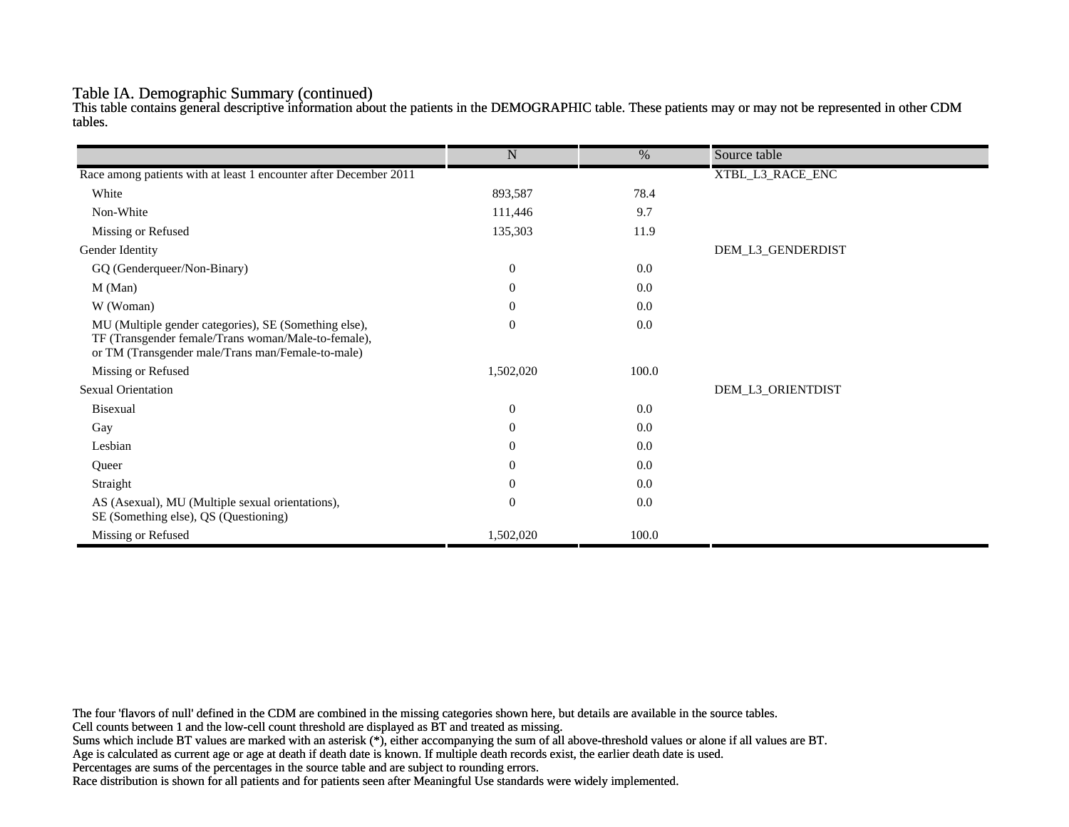#### Table IA. Demographic Summary (continued)

This table contains general descriptive information about the patients in the DEMOGRAPHIC table. These patients may or may not be represented in other CDM tables.

|                                                                                                                                                                   | $\mathbf N$      | $\%$  | Source table      |
|-------------------------------------------------------------------------------------------------------------------------------------------------------------------|------------------|-------|-------------------|
| Race among patients with at least 1 encounter after December 2011                                                                                                 |                  |       | XTBL_L3_RACE_ENC  |
|                                                                                                                                                                   |                  |       |                   |
| White                                                                                                                                                             | 893,587          | 78.4  |                   |
| Non-White                                                                                                                                                         | 111,446          | 9.7   |                   |
| Missing or Refused                                                                                                                                                | 135,303          | 11.9  |                   |
| Gender Identity                                                                                                                                                   |                  |       | DEM_L3_GENDERDIST |
| GQ (Genderqueer/Non-Binary)                                                                                                                                       | $\overline{0}$   | 0.0   |                   |
| M (Man)                                                                                                                                                           | $\theta$         | 0.0   |                   |
| W (Woman)                                                                                                                                                         | $\boldsymbol{0}$ | 0.0   |                   |
| MU (Multiple gender categories), SE (Something else),<br>TF (Transgender female/Trans woman/Male-to-female),<br>or TM (Transgender male/Trans man/Female-to-male) | $\overline{0}$   | 0.0   |                   |
| Missing or Refused                                                                                                                                                | 1,502,020        | 100.0 |                   |
| <b>Sexual Orientation</b>                                                                                                                                         |                  |       | DEM_L3_ORIENTDIST |
| <b>Bisexual</b>                                                                                                                                                   | $\mathbf{0}$     | 0.0   |                   |
| Gay                                                                                                                                                               | $\theta$         | 0.0   |                   |
| Lesbian                                                                                                                                                           | $\theta$         | 0.0   |                   |
| Queer                                                                                                                                                             | $\theta$         | 0.0   |                   |
| Straight                                                                                                                                                          | $\theta$         | 0.0   |                   |
| AS (Asexual), MU (Multiple sexual orientations),<br>SE (Something else), QS (Questioning)                                                                         | $\overline{0}$   | 0.0   |                   |
| Missing or Refused                                                                                                                                                | 1,502,020        | 100.0 |                   |

The four 'flavors of null' defined in the CDM are combined in the missing categories shown here, but details are available in the source tables.

Cell counts between 1 and the low-cell count threshold are displayed as BT and treated as missing.

Sums which include BT values are marked with an asterisk (\*), either accompanying the sum of all above-threshold values or alone if all values are BT.

Age is calculated as current age or age at death if death date is known. If multiple death records exist, the earlier death date is used.

Percentages are sums of the percentages in the source table and are subject to rounding errors.

Race distribution is shown for all patients and for patients seen after Meaningful Use standards were widely implemented.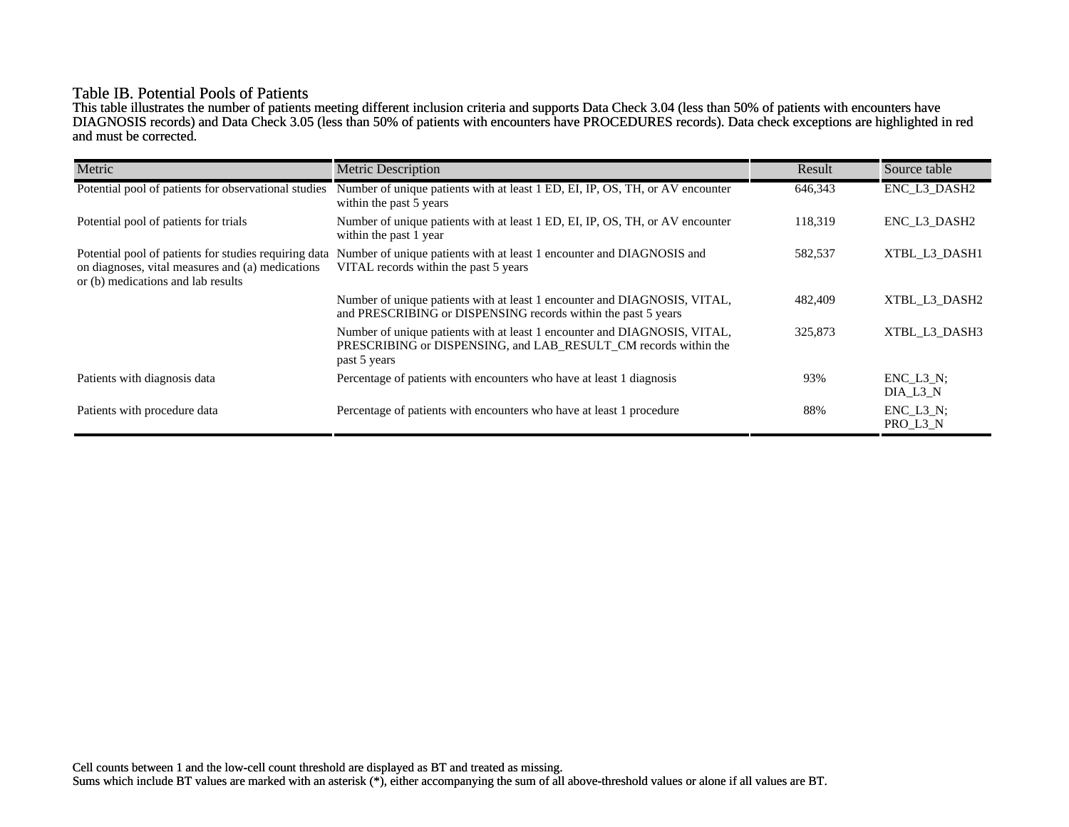## Table IB. Potential Pools of Patients

This table illustrates the number of patients meeting different inclusion criteria and supports Data Check 3.04 (less than 50% of patients with encounters have DIAGNOSIS records) and Data Check 3.05 (less than 50% of patients with encounters have PROCEDURES records). Data check exceptions are highlighted in red and must be corrected.

| Metric                                                                                                                                          | <b>Metric Description</b>                                                                                                                                    | Result  | Source table                 |
|-------------------------------------------------------------------------------------------------------------------------------------------------|--------------------------------------------------------------------------------------------------------------------------------------------------------------|---------|------------------------------|
| Potential pool of patients for observational studies                                                                                            | Number of unique patients with at least 1 ED, EI, IP, OS, TH, or AV encounter<br>within the past 5 years                                                     | 646,343 | ENC_L3_DASH2                 |
| Potential pool of patients for trials                                                                                                           | Number of unique patients with at least 1 ED, EI, IP, OS, TH, or AV encounter<br>within the past 1 year                                                      | 118,319 | ENC L3 DASH2                 |
| Potential pool of patients for studies requiring data<br>on diagnoses, vital measures and (a) medications<br>or (b) medications and lab results | Number of unique patients with at least 1 encounter and DIAGNOSIS and<br>VITAL records within the past 5 years                                               | 582,537 | XTBL L3 DASH1                |
|                                                                                                                                                 | Number of unique patients with at least 1 encounter and DIAGNOSIS, VITAL,<br>and PRESCRIBING or DISPENSING records within the past 5 years                   | 482,409 | XTBL L3 DASH2                |
|                                                                                                                                                 | Number of unique patients with at least 1 encounter and DIAGNOSIS, VITAL,<br>PRESCRIBING or DISPENSING, and LAB_RESULT_CM records within the<br>past 5 years | 325,873 | XTBL L3 DASH3                |
| Patients with diagnosis data                                                                                                                    | Percentage of patients with encounters who have at least 1 diagnosis                                                                                         | 93%     | $ENC$ $L3$ $N$ :<br>DIA L3 N |
| Patients with procedure data                                                                                                                    | Percentage of patients with encounters who have at least 1 procedure                                                                                         | 88%     | $ENC_L3_N;$<br>PRO_L3_N      |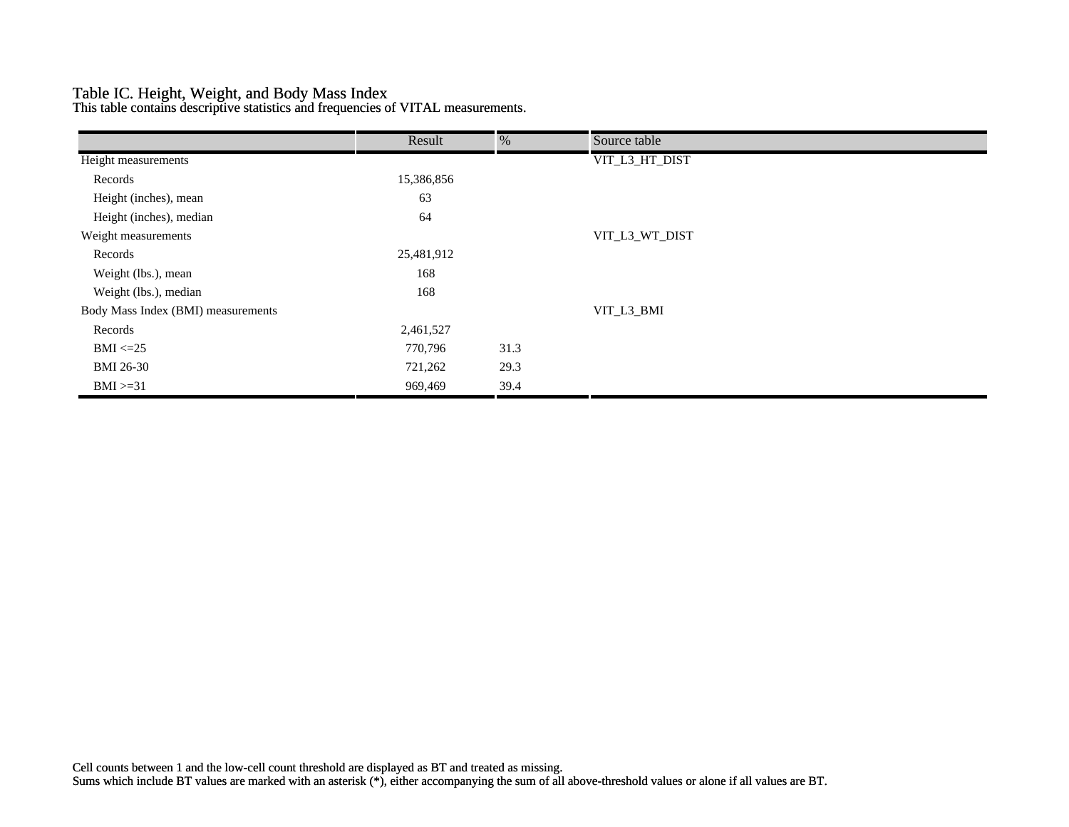## Table IC. Height, Weight, and Body Mass Index

This table contains descriptive statistics and frequencies of VITAL measurements.

|                                    | Result     | %    | Source table   |  |
|------------------------------------|------------|------|----------------|--|
| Height measurements                |            |      | VIT_L3_HT_DIST |  |
| Records                            | 15,386,856 |      |                |  |
| Height (inches), mean              | 63         |      |                |  |
| Height (inches), median            | 64         |      |                |  |
| Weight measurements                |            |      | VIT_L3_WT_DIST |  |
| Records                            | 25,481,912 |      |                |  |
| Weight (lbs.), mean                | 168        |      |                |  |
| Weight (lbs.), median              | 168        |      |                |  |
| Body Mass Index (BMI) measurements |            |      | VIT_L3_BMI     |  |
| Records                            | 2,461,527  |      |                |  |
| $BMI \leq 25$                      | 770,796    | 31.3 |                |  |
| <b>BMI 26-30</b>                   | 721,262    | 29.3 |                |  |
| $BMI > = 31$                       | 969,469    | 39.4 |                |  |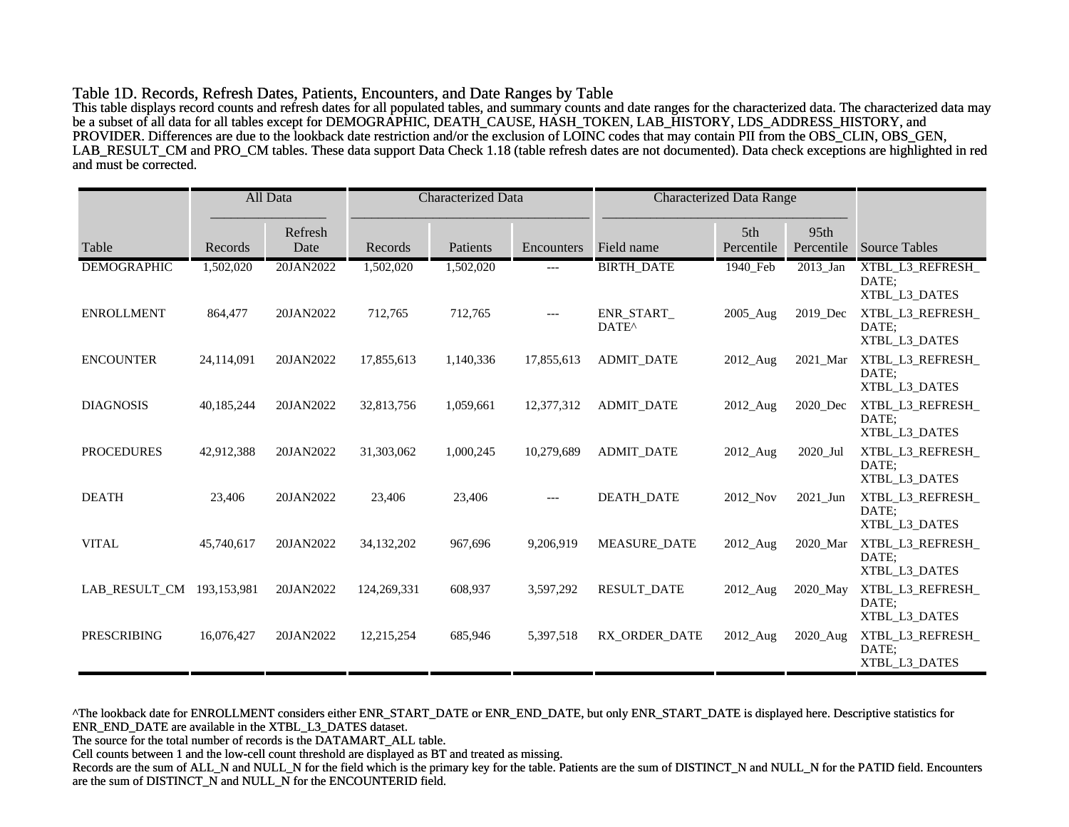#### Table 1D. Records, Refresh Dates, Patients, Encounters, and Date Ranges by Table

This table displays record counts and refresh dates for all populated tables, and summary counts and date ranges for the characterized data. The characterized data may be a subset of all data for all tables except for DEMOGRAPHIC, DEATH\_CAUSE, HASH\_TOKEN, LAB\_HISTORY, LDS\_ADDRESS\_HISTORY, and PROVIDER. Differences are due to the lookback date restriction and/or the exclusion of LOINC codes that may contain PII from the OBS\_CLIN, OBS\_GEN, LAB\_RESULT\_CM and PRO\_CM tables. These data support Data Check 1.18 (table refresh dates are not documented). Data check exceptions are highlighted in red and must be corrected.

|                    |             | All Data        |             | <b>Characterized Data</b> |                                                                     | <b>Characterized Data Range</b>       |                      |             |                                            |
|--------------------|-------------|-----------------|-------------|---------------------------|---------------------------------------------------------------------|---------------------------------------|----------------------|-------------|--------------------------------------------|
| Table              | Records     | Refresh<br>Date | Records     | Patients                  | 5th<br>95th<br>Field name<br>Percentile<br>Percentile<br>Encounters |                                       | <b>Source Tables</b> |             |                                            |
| <b>DEMOGRAPHIC</b> | 1,502,020   | 20JAN2022       | 1,502,020   | 1,502,020                 | ---                                                                 | <b>BIRTH_DATE</b>                     | 1940_Feb             | $2013$ _Jan | XTBL_L3_REFRESH_<br>DATE:<br>XTBL_L3_DATES |
| <b>ENROLLMENT</b>  | 864,477     | 20JAN2022       | 712,765     | 712,765                   | $---$                                                               | <b>ENR START</b><br>DATE <sup>^</sup> | 2005_Aug             | 2019 Dec    | XTBL_L3_REFRESH_<br>DATE:<br>XTBL L3 DATES |
| <b>ENCOUNTER</b>   | 24,114,091  | 20JAN2022       | 17,855,613  | 1,140,336                 | 17,855,613                                                          | <b>ADMIT_DATE</b>                     | 2012_Aug             | 2021 Mar    | XTBL_L3_REFRESH_<br>DATE:<br>XTBL_L3_DATES |
| <b>DIAGNOSIS</b>   | 40,185,244  | 20JAN2022       | 32,813,756  | 1,059,661                 | 12,377,312                                                          | <b>ADMIT DATE</b>                     | 2012_Aug             | 2020 Dec    | XTBL_L3_REFRESH_<br>DATE:<br>XTBL_L3_DATES |
| <b>PROCEDURES</b>  | 42,912,388  | 20JAN2022       | 31,303,062  | 1,000,245                 | 10,279,689                                                          | <b>ADMIT DATE</b>                     | 2012_Aug             | 2020 Jul    | XTBL_L3_REFRESH_<br>DATE:<br>XTBL_L3_DATES |
| <b>DEATH</b>       | 23,406      | 20JAN2022       | 23,406      | 23,406                    | $---$                                                               | <b>DEATH DATE</b>                     | 2012_Nov             | 2021 Jun    | XTBL_L3_REFRESH_<br>DATE:<br>XTBL_L3_DATES |
| <b>VITAL</b>       | 45,740,617  | 20JAN2022       | 34,132,202  | 967,696                   | 9,206,919                                                           | <b>MEASURE DATE</b>                   | 2012_Aug             | 2020 Mar    | XTBL_L3_REFRESH_<br>DATE:<br>XTBL_L3_DATES |
| LAB RESULT CM      | 193,153,981 | 20JAN2022       | 124,269,331 | 608,937                   | 3,597,292                                                           | <b>RESULT_DATE</b>                    | 2012_Aug             | 2020_May    | XTBL_L3_REFRESH_<br>DATE:<br>XTBL_L3_DATES |
| <b>PRESCRIBING</b> | 16,076,427  | 20JAN2022       | 12,215,254  | 685,946                   | 5,397,518                                                           | RX ORDER DATE                         | $2012$ Aug           | $2020$ Aug  | XTBL_L3_REFRESH_<br>DATE:<br>XTBL_L3_DATES |

^The lookback date for ENROLLMENT considers either ENR\_START\_DATE or ENR\_END\_DATE, but only ENR\_START\_DATE is displayed here. Descriptive statistics for ENR\_END\_DATE are available in the XTBL\_L3\_DATES dataset.

The source for the total number of records is the DATAMART\_ALL table.

Cell counts between 1 and the low-cell count threshold are displayed as BT and treated as missing.

Records are the sum of ALL\_N and NULL\_N for the field which is the primary key for the table. Patients are the sum of DISTINCT\_N and NULL\_N for the PATID field. Encounters are the sum of DISTINCT\_N and NULL\_N for the ENCOUNTERID field.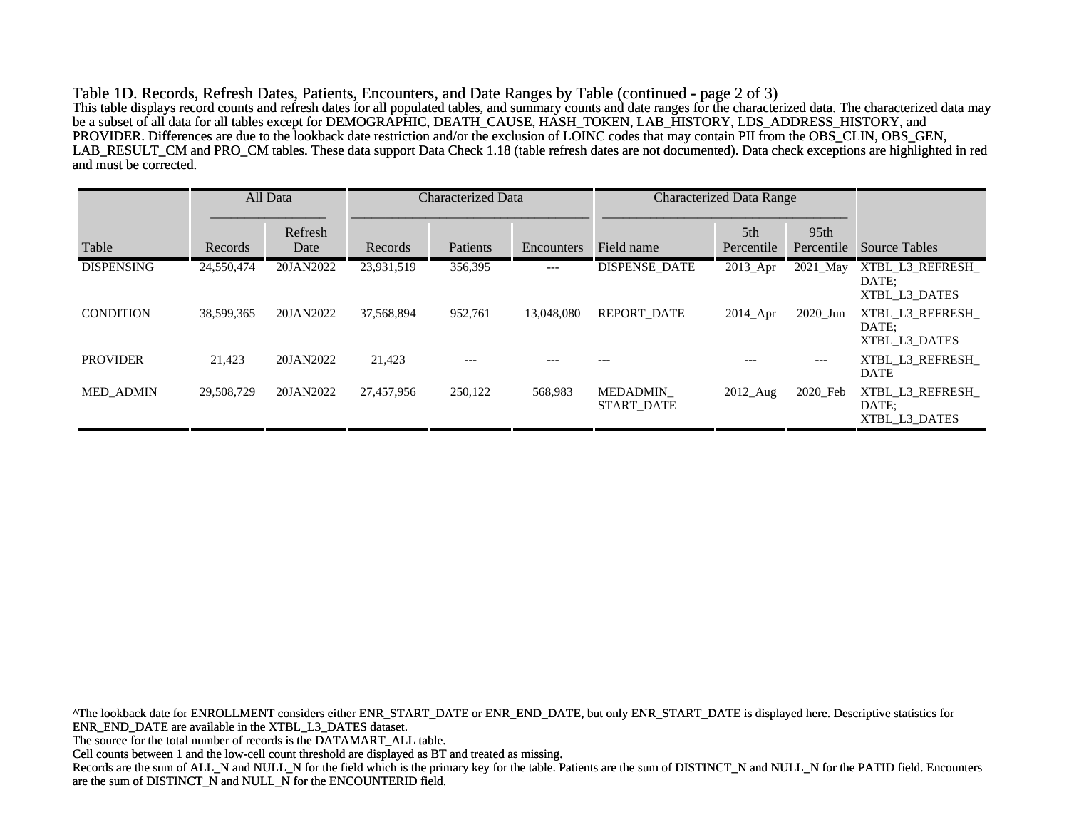Table 1D. Records, Refresh Dates, Patients, Encounters, and Date Ranges by Table (continued - page 2 of 3) This table displays record counts and refresh dates for all populated tables, and summary counts and date ranges for the characterized data. The characterized data may be a subset of all data for all tables except for DEMOGRAPHIC, DEATH\_CAUSE, HASH\_TOKEN, LAB\_HISTORY, LDS\_ADDRESS\_HISTORY, and PROVIDER. Differences are due to the lookback date restriction and/or the exclusion of LOINC codes that may contain PII from the OBS\_CLIN, OBS\_GEN, LAB\_RESULT\_CM and PRO\_CM tables. These data support Data Check 1.18 (table refresh dates are not documented). Data check exceptions are highlighted in red and must be corrected.

|                   |            | All Data        | <b>Characterized Data</b> |          | <b>Characterized Data Range</b> |                               |                               |                                |                                            |
|-------------------|------------|-----------------|---------------------------|----------|---------------------------------|-------------------------------|-------------------------------|--------------------------------|--------------------------------------------|
| Table             | Records    | Refresh<br>Date | Records                   | Patients | <b>Encounters</b>               | Field name                    | 5 <sup>th</sup><br>Percentile | 95 <sub>th</sub><br>Percentile | <b>Source Tables</b>                       |
| <b>DISPENSING</b> | 24,550,474 | 20JAN2022       | 23,931,519                | 356,395  | $---$                           | <b>DISPENSE DATE</b>          | 2013 Apr                      | 2021_May                       | XTBL_L3_REFRESH_<br>DATE:<br>XTBL L3 DATES |
| <b>CONDITION</b>  | 38,599,365 | 20JAN2022       | 37,568,894                | 952,761  | 13,048,080                      | <b>REPORT DATE</b>            | $2014$ Apr                    | 2020 Jun                       | XTBL L3 REFRESH<br>DATE:<br>XTBL L3 DATES  |
| <b>PROVIDER</b>   | 21,423     | 20JAN2022       | 21,423                    | $---$    | ---                             | $- - -$                       | $---$                         | $---$                          | XTBL L3 REFRESH<br><b>DATE</b>             |
| MED_ADMIN         | 29,508,729 | 20JAN2022       | 27,457,956                | 250,122  | 568,983                         | MEDADMIN<br><b>START DATE</b> | $2012$ Aug                    | 2020 Feb                       | XTBL_L3_REFRESH_<br>DATE:<br>XTBL L3 DATES |

^The lookback date for ENROLLMENT considers either ENR\_START\_DATE or ENR\_END\_DATE, but only ENR\_START\_DATE is displayed here. Descriptive statistics for ENR\_END\_DATE are available in the XTBL\_L3\_DATES dataset. The source for the total number of records is the DATAMART\_ALL table. Cell counts between 1 and the low-cell count threshold are displayed as BT and treated as missing. Records are the sum of ALL\_N and NULL\_N for the field which is the primary key for the table. Patients are the sum of DISTINCT\_N and NULL\_N for the PATID field. Encounters are the sum of DISTINCT\_N and NULL\_N for the ENCOUNTERID field.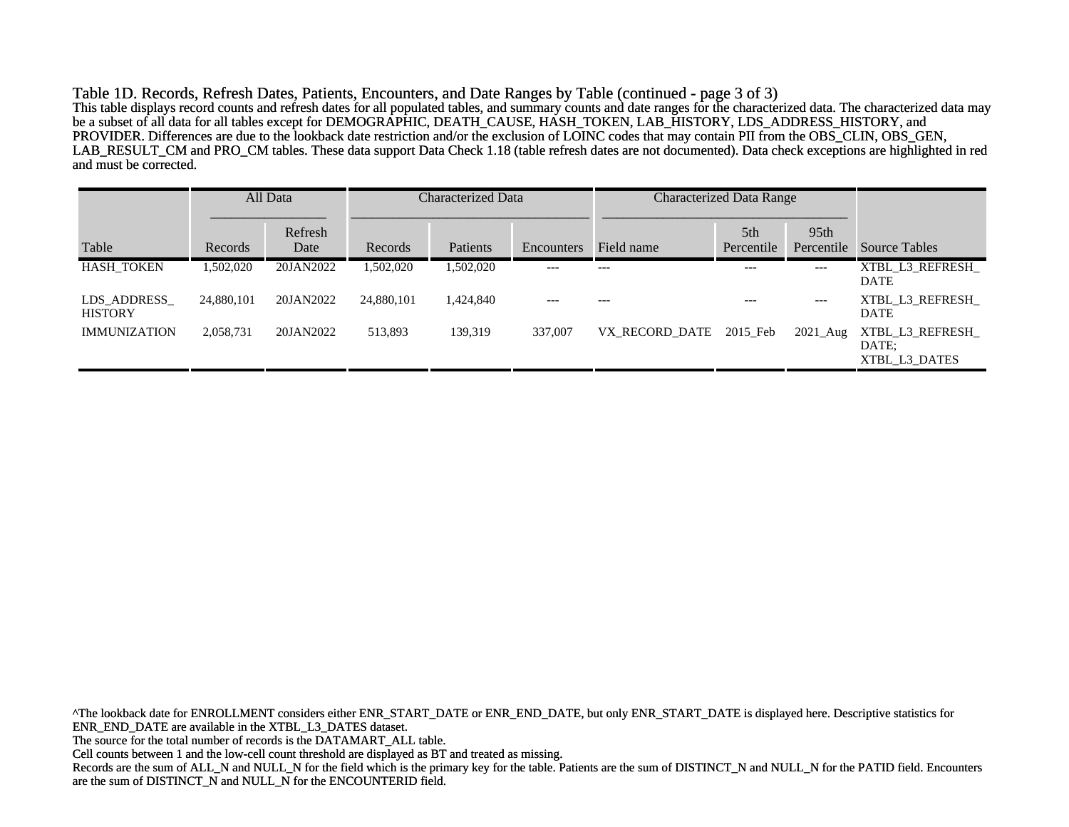Table 1D. Records, Refresh Dates, Patients, Encounters, and Date Ranges by Table (continued - page 3 of 3) This table displays record counts and refresh dates for all populated tables, and summary counts and date ranges for the characterized data. The characterized data may be a subset of all data for all tables except for DEMOGRAPHIC, DEATH\_CAUSE, HASH\_TOKEN, LAB\_HISTORY, LDS\_ADDRESS\_HISTORY, and PROVIDER. Differences are due to the lookback date restriction and/or the exclusion of LOINC codes that may contain PII from the OBS\_CLIN, OBS\_GEN, LAB\_RESULT\_CM and PRO\_CM tables. These data support Data Check 1.18 (table refresh dates are not documented). Data check exceptions are highlighted in red and must be corrected.

|                               |            | All Data        | Characterized Data |           | <b>Characterized Data Range</b> |                |                   |                                |                                           |
|-------------------------------|------------|-----------------|--------------------|-----------|---------------------------------|----------------|-------------------|--------------------------------|-------------------------------------------|
| Table                         | Records    | Refresh<br>Date | Records            | Patients  | Encounters                      | Field name     | 5th<br>Percentile | 95 <sub>th</sub><br>Percentile | Source Tables                             |
| <b>HASH TOKEN</b>             | 1,502,020  | 20JAN2022       | 1,502,020          | 1,502,020 | $---$                           | $---$          | $---$             | ---                            | XTBL L3 REFRESH<br><b>DATE</b>            |
| LDS ADDRESS<br><b>HISTORY</b> | 24,880,101 | 20JAN2022       | 24,880,101         | 1,424,840 | $---$                           | $---$          | $---$             | $---$                          | XTBL L3 REFRESH<br><b>DATE</b>            |
| <b>IMMUNIZATION</b>           | 2,058,731  | 20JAN2022       | 513,893            | 139,319   | 337,007                         | VX RECORD DATE | 2015 Feb          | $2021$ Aug                     | XTBL L3 REFRESH<br>DATE:<br>XTBL L3 DATES |

^The lookback date for ENROLLMENT considers either ENR\_START\_DATE or ENR\_END\_DATE, but only ENR\_START\_DATE is displayed here. Descriptive statistics for ENR\_END\_DATE are available in the XTBL\_L3\_DATES dataset. The source for the total number of records is the DATAMART\_ALL table. Cell counts between 1 and the low-cell count threshold are displayed as BT and treated as missing. Records are the sum of ALL\_N and NULL\_N for the field which is the primary key for the table. Patients are the sum of DISTINCT\_N and NULL\_N for the PATID field. Encounters are the sum of DISTINCT\_N and NULL\_N for the ENCOUNTERID field.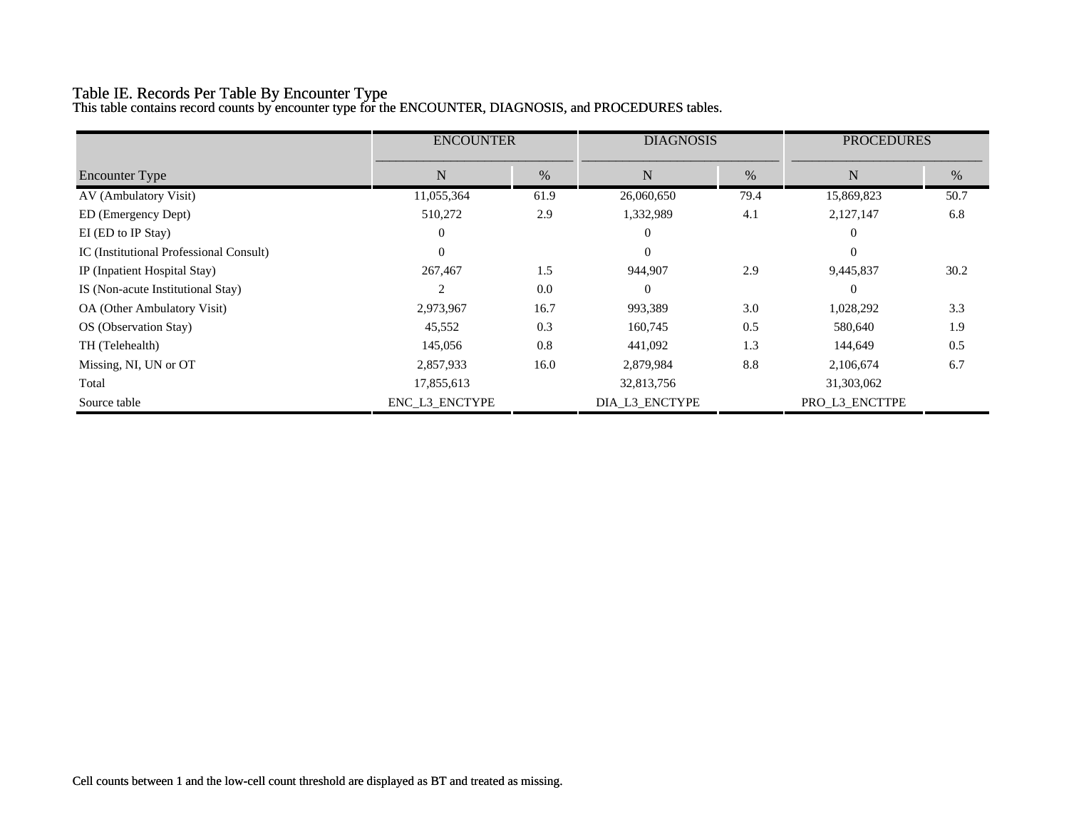# Table IE. Records Per Table By Encounter Type

This table contains record counts by encounter type for the ENCOUNTER, DIAGNOSIS, and PROCEDURES tables.

|                                         | <b>ENCOUNTER</b> |      | <b>DIAGNOSIS</b> |      | <b>PROCEDURES</b> |      |  |
|-----------------------------------------|------------------|------|------------------|------|-------------------|------|--|
| <b>Encounter Type</b>                   | N                | $\%$ | N                | $\%$ | N                 | $\%$ |  |
| AV (Ambulatory Visit)                   | 11,055,364       | 61.9 | 26,060,650       | 79.4 | 15,869,823        | 50.7 |  |
| ED (Emergency Dept)                     | 510,272          | 2.9  | 1,332,989        | 4.1  | 2,127,147         | 6.8  |  |
| EI (ED to IP Stay)                      | $\theta$         |      | $\Omega$         |      | $\Omega$          |      |  |
| IC (Institutional Professional Consult) | $\theta$         |      | $\Omega$         |      | $\Omega$          |      |  |
| IP (Inpatient Hospital Stay)            | 267,467          | 1.5  | 944,907          | 2.9  | 9,445,837         | 30.2 |  |
| IS (Non-acute Institutional Stay)       | $\overline{c}$   | 0.0  | $\theta$         |      | $\Omega$          |      |  |
| OA (Other Ambulatory Visit)             | 2,973,967        | 16.7 | 993,389          | 3.0  | 1,028,292         | 3.3  |  |
| OS (Observation Stay)                   | 45,552           | 0.3  | 160,745          | 0.5  | 580,640           | 1.9  |  |
| TH (Telehealth)                         | 145,056          | 0.8  | 441,092          | 1.3  | 144,649           | 0.5  |  |
| Missing, NI, UN or OT                   | 2,857,933        | 16.0 | 2,879,984        | 8.8  | 2,106,674         | 6.7  |  |
| Total                                   | 17,855,613       |      | 32,813,756       |      | 31,303,062        |      |  |
| Source table                            | ENC_L3_ENCTYPE   |      | DIA_L3_ENCTYPE   |      | PRO_L3_ENCTTPE    |      |  |